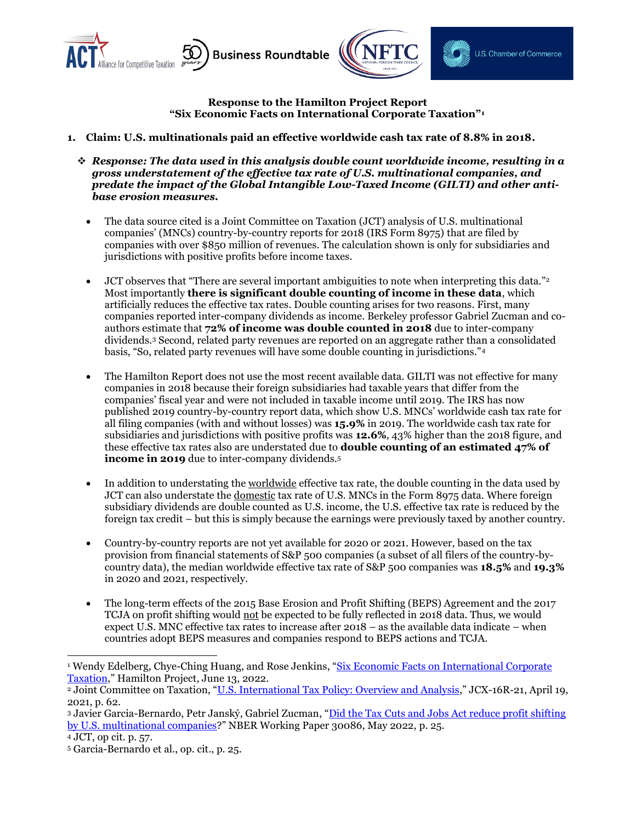



**Response to the Hamilton Project Report "Six Economic Facts on International Corporate Taxation"<sup>1</sup>**

- **1. Claim: U.S. multinationals paid an effective worldwide cash tax rate of 8.8% in 2018.**
	- ❖ *Response: The data used in this analysis double count worldwide income, resulting in a gross understatement of the effective tax rate of U.S. multinational companies, and predate the impact of the Global Intangible Low-Taxed Income (GILTI) and other antibase erosion measures.*
		- The data source cited is a Joint Committee on Taxation (JCT) analysis of U.S. multinational companies' (MNCs) country-by-country reports for 2018 (IRS Form 8975) that are filed by companies with over \$850 million of revenues. The calculation shown is only for subsidiaries and jurisdictions with positive profits before income taxes.
		- JCT observes that "There are several important ambiguities to note when interpreting this data."<sup>2</sup> Most importantly **there is significant double counting of income in these data**, which artificially reduces the effective tax rates. Double counting arises for two reasons. First, many companies reported inter-company dividends as income. Berkeley professor Gabriel Zucman and coauthors estimate that **72% of income was double counted in 2018** due to inter-company dividends.<sup>3</sup> Second, related party revenues are reported on an aggregate rather than a consolidated basis, "So, related party revenues will have some double counting in jurisdictions."<sup>4</sup>
		- The Hamilton Report does not use the most recent available data. GILTI was not effective for many companies in 2018 because their foreign subsidiaries had taxable years that differ from the companies' fiscal year and were not included in taxable income until 2019. The IRS has now published 2019 country-by-country report data, which show U.S. MNCs' worldwide cash tax rate for all filing companies (with and without losses) was **15.9%** in 2019. The worldwide cash tax rate for subsidiaries and jurisdictions with positive profits was **12.6%**, 43% higher than the 2018 figure, and these effective tax rates also are understated due to **double counting of an estimated 47% of income in 2019** due to inter-company dividends.<sup>5</sup>
		- In addition to understating the <u>worldwide</u> effective tax rate, the double counting in the data used by JCT can also understate the domestic tax rate of U.S. MNCs in the Form 8975 data. Where foreign subsidiary dividends are double counted as U.S. income, the U.S. effective tax rate is reduced by the foreign tax credit – but this is simply because the earnings were previously taxed by another country.
		- Country-by-country reports are not yet available for 2020 or 2021. However, based on the tax provision from financial statements of S&P 500 companies (a subset of all filers of the country-bycountry data), the median worldwide effective tax rate of S&P 500 companies was **18.5%** and **19.3%** in 2020 and 2021, respectively.
		- The long-term effects of the 2015 Base Erosion and Profit Shifting (BEPS) Agreement and the 2017 TCJA on profit shifting would not be expected to be fully reflected in 2018 data. Thus, we would expect U.S. MNC effective tax rates to increase after 2018 – as the available data indicate – when countries adopt BEPS measures and companies respond to BEPS actions and TCJA.

<sup>4</sup> JCT, op cit. p. 57.

<sup>&</sup>lt;sup>1</sup> Wendy Edelberg, Chye-Ching Huang, and Rose Jenkins, "Six Economic Facts on International Corporate [Taxation](https://www.hamiltonproject.org/papers/six_economic_facts_on_international_corporate_taxation)," Hamilton Project, June 13, 2022.

<sup>2</sup> Joint Committee on Taxation, "[U.S. International Tax Policy: Overview and Analysis](https://www.jct.gov/publications/2021/jcx-16r-21/)," JCX-16R-21, April 19, 2021, p. 62.

<sup>3</sup> Javier Garcia-Bernardo, Petr Janský, Gabriel Zucman, "Did the Tax Cuts and Jobs Act reduce profit shifting by U.S. [multinational companies](http://www.nber.org/papers/w30086)?" NBER Working Paper 30086, May 2022, p. 25.

<sup>5</sup> Garcia-Bernardo et al., op. cit., p. 25.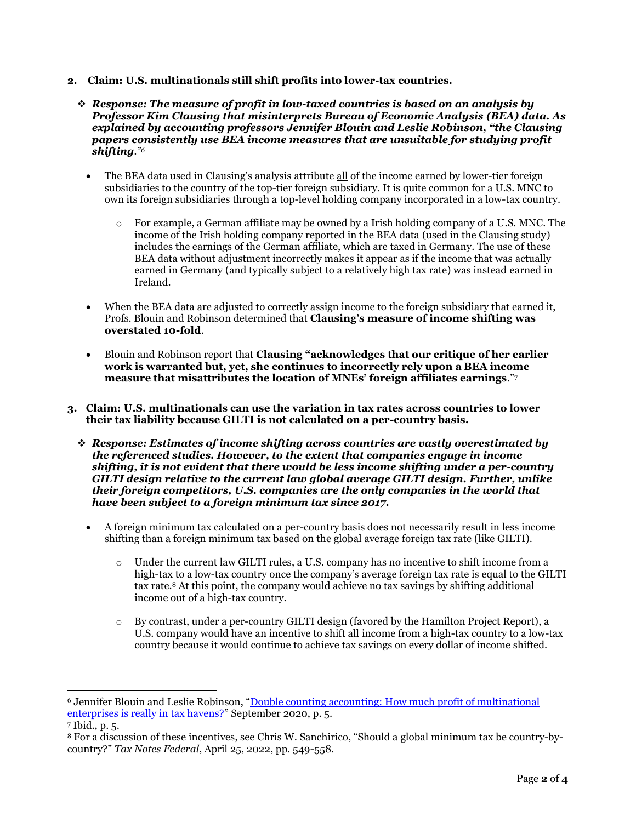- **2. Claim: U.S. multinationals still shift profits into lower-tax countries.**
	- ❖ *Response: The measure of profit in low-taxed countries is based on an analysis by Professor Kim Clausing that misinterprets Bureau of Economic Analysis (BEA) data. As explained by accounting professors Jennifer Blouin and Leslie Robinson, "the Clausing papers consistently use BEA income measures that are unsuitable for studying profit shifting."<sup>6</sup>*
		- The BEA data used in Clausing's analysis attribute all of the income earned by lower-tier foreign subsidiaries to the country of the top-tier foreign subsidiary. It is quite common for a U.S. MNC to own its foreign subsidiaries through a top-level holding company incorporated in a low-tax country.
			- o For example, a German affiliate may be owned by a Irish holding company of a U.S. MNC. The income of the Irish holding company reported in the BEA data (used in the Clausing study) includes the earnings of the German affiliate, which are taxed in Germany. The use of these BEA data without adjustment incorrectly makes it appear as if the income that was actually earned in Germany (and typically subject to a relatively high tax rate) was instead earned in Ireland.
		- When the BEA data are adjusted to correctly assign income to the foreign subsidiary that earned it, Profs. Blouin and Robinson determined that **Clausing's measure of income shifting was overstated 10-fold**.
		- Blouin and Robinson report that **Clausing "acknowledges that our critique of her earlier work is warranted but, yet, she continues to incorrectly rely upon a BEA income measure that misattributes the location of MNEs' foreign affiliates earnings**." 7
- **3. Claim: U.S. multinationals can use the variation in tax rates across countries to lower their tax liability because GILTI is not calculated on a per-country basis.**
	- ❖ *Response: Estimates of income shifting across countries are vastly overestimated by the referenced studies. However, to the extent that companies engage in income shifting, it is not evident that there would be less income shifting under a per-country GILTI design relative to the current law global average GILTI design. Further, unlike their foreign competitors, U.S. companies are the only companies in the world that have been subject to a foreign minimum tax since 2017.*
		- A foreign minimum tax calculated on a per-country basis does not necessarily result in less income shifting than a foreign minimum tax based on the global average foreign tax rate (like GILTI).
			- o Under the current law GILTI rules, a U.S. company has no incentive to shift income from a high-tax to a low-tax country once the company's average foreign tax rate is equal to the GILTI tax rate.<sup>8</sup> At this point, the company would achieve no tax savings by shifting additional income out of a high-tax country.
			- o By contrast, under a per-country GILTI design (favored by the Hamilton Project Report), a U.S. company would have an incentive to shift all income from a high-tax country to a low-tax country because it would continue to achieve tax savings on every dollar of income shifted.

<sup>&</sup>lt;sup>6</sup> Jennifer Blouin and Leslie Robinson, "Double counting accounting: How much profit of multinational [enterprises is really in tax havens?](https://papers.ssrn.com/sol3/papers.cfm?abstract_id=3491451)" September 2020, p. 5.

<sup>7</sup> Ibid., p. 5.

<sup>8</sup> For a discussion of these incentives, see Chris W. Sanchirico, "Should a global minimum tax be country-bycountry?" *Tax Notes Federal*, April 25, 2022, pp. 549-558.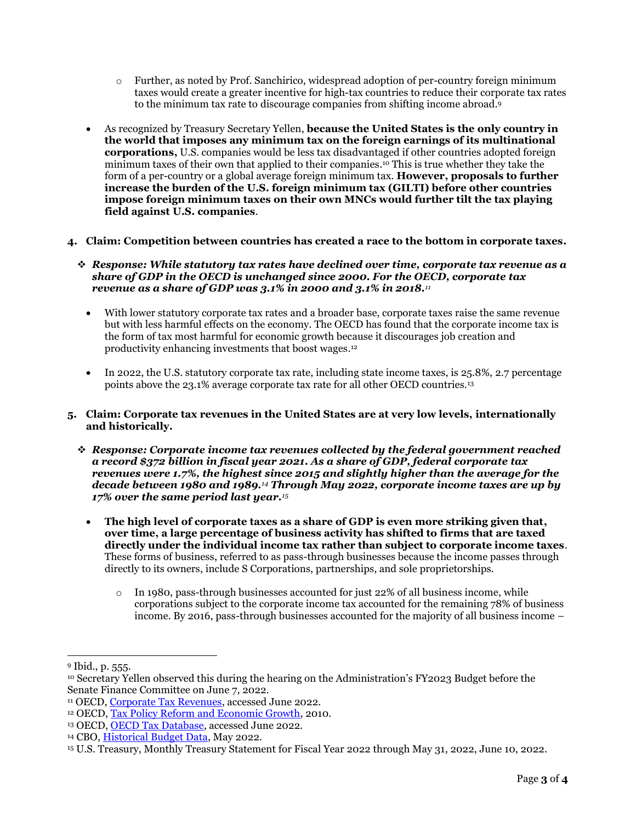- o Further, as noted by Prof. Sanchirico, widespread adoption of per-country foreign minimum taxes would create a greater incentive for high-tax countries to reduce their corporate tax rates to the minimum tax rate to discourage companies from shifting income abroad. 9
- As recognized by Treasury Secretary Yellen, **because the United States is the only country in the world that imposes any minimum tax on the foreign earnings of its multinational corporations,** U.S. companies would be less tax disadvantaged if other countries adopted foreign minimum taxes of their own that applied to their companies. <sup>10</sup> This is true whether they take the form of a per-country or a global average foreign minimum tax. **However, proposals to further increase the burden of the U.S. foreign minimum tax (GILTI) before other countries impose foreign minimum taxes on their own MNCs would further tilt the tax playing field against U.S. companies**.
- **4. Claim: Competition between countries has created a race to the bottom in corporate taxes.**
	- ❖ *Response: While statutory tax rates have declined over time, corporate tax revenue as a share of GDP in the OECD is unchanged since 2000. For the OECD, corporate tax revenue as a share of GDP was 3.1% in 2000 and 3.1% in 2018.<sup>11</sup>*
		- With lower statutory corporate tax rates and a broader base, corporate taxes raise the same revenue but with less harmful effects on the economy. The OECD has found that the corporate income tax is the form of tax most harmful for economic growth because it discourages job creation and productivity enhancing investments that boost wages. 12
		- In 2022, the U.S. statutory corporate tax rate, including state income taxes, is 25,8%, 2.7 percentage points above the 23.1% average corporate tax rate for all other OECD countries.<sup>13</sup>
- **5. Claim: Corporate tax revenues in the United States are at very low levels, internationally and historically.**
	- ❖ *Response: Corporate income tax revenues collected by the federal government reached a record \$372 billion in fiscal year 2021. As a share of GDP, federal corporate tax revenues were 1.7%, the highest since 2015 and slightly higher than the average for the decade between 1980 and 1989.<sup>14</sup> Through May 2022, corporate income taxes are up by 17% over the same period last year.<sup>15</sup>*
		- **The high level of corporate taxes as a share of GDP is even more striking given that, over time, a large percentage of business activity has shifted to firms that are taxed directly under the individual income tax rather than subject to corporate income taxes**. These forms of business, referred to as pass-through businesses because the income passes through directly to its owners, include S Corporations, partnerships, and sole proprietorships.
			- $\circ$  In 1980, pass-through businesses accounted for just 22% of all business income, while corporations subject to the corporate income tax accounted for the remaining 78% of business income. By 2016, pass-through businesses accounted for the majority of all business income –

<sup>9</sup> Ibid., p. 555.

<sup>10</sup> Secretary Yellen observed this during the hearing on the Administration's FY2023 Budget before the Senate Finance Committee on June 7, 2022.

<sup>&</sup>lt;sup>11</sup> OECD, [Corporate Tax Revenues,](https://stats.oecd.org/Index.aspx?DataSetCode=REV) accessed June 2022.

<sup>&</sup>lt;sup>12</sup> OECD[, Tax Policy Reform and Economic Growth,](https://www.oecd-ilibrary.org/taxation/tax-policy-reform-and-economic-growth_9789264091085-en) 2010.

<sup>&</sup>lt;sup>13</sup> OECD[, OECD Tax Database,](http://stats.oecd.org/Index.aspx?QueryId=78166) accessed June 2022.

<sup>&</sup>lt;sup>14</sup> CBO, *Historical Budget Data*, May 2022.

<sup>15</sup> U.S. Treasury, Monthly Treasury Statement for Fiscal Year 2022 through May 31, 2022, June 10, 2022.